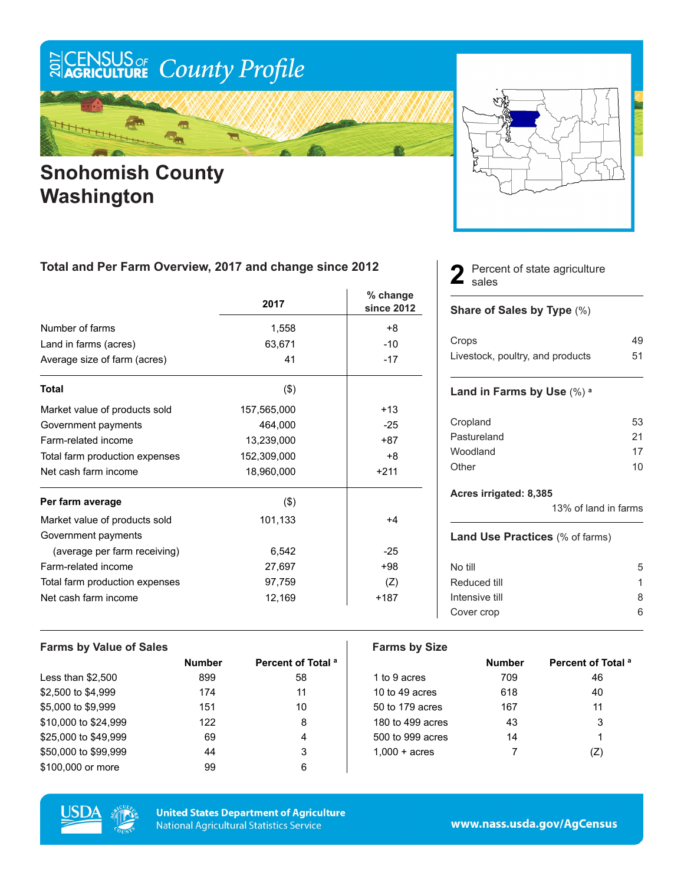# ECENSUS OF County Profile ¢ 氚

## **Snohomish County Washington**



### **Total and Per Farm Overview, 2017 and change since 2012**

|                                | 2017        | % change<br>since 2012 |
|--------------------------------|-------------|------------------------|
| Number of farms                | 1,558       | +8                     |
| Land in farms (acres)          | 63,671      | $-10$                  |
| Average size of farm (acres)   | 41          | $-17$                  |
| <b>Total</b>                   | $($ \$)     |                        |
| Market value of products sold  | 157,565,000 | $+13$                  |
| Government payments            | 464,000     | $-25$                  |
| Farm-related income            | 13,239,000  | $+87$                  |
| Total farm production expenses | 152,309,000 | $+8$                   |
| Net cash farm income           | 18,960,000  | $+211$                 |
| Per farm average               | $($ \$)     |                        |
| Market value of products sold  | 101,133     | $+4$                   |
| Government payments            |             |                        |
| (average per farm receiving)   | 6,542       | $-25$                  |
| Farm-related income            | 27,697      | $+98$                  |
| Total farm production expenses | 97,759      | (Z)                    |
| Net cash farm income           | 12,169      | +187                   |

#### Percent of state agriculture 2 Perce

### **Share of Sales by Type** (%)

| Crops                            | 49 |
|----------------------------------|----|
| Livestock, poultry, and products | 51 |

#### **Land in Farms by Use** (%) **<sup>a</sup>**

| 53 |
|----|
| 21 |
| 17 |
| 10 |
|    |

#### **Acres irrigated: 8,385**

13% of land in farms

#### **Land Use Practices** (% of farms)

| No till        | 5 |
|----------------|---|
| Reduced till   |   |
| Intensive till | 8 |
| Cover crop     |   |
|                |   |

| <b>Farms by Value of Sales</b> |               |                               | <b>Farms by Size</b>   |               |                               |
|--------------------------------|---------------|-------------------------------|------------------------|---------------|-------------------------------|
|                                | <b>Number</b> | Percent of Total <sup>a</sup> |                        | <b>Number</b> | Percent of Total <sup>a</sup> |
| Less than $$2,500$             | 899           | 58                            | 1 to 9 acres           | 709           | 46                            |
| \$2,500 to \$4,999             | 174           | 11                            | 10 to 49 acres         | 618           | 40                            |
| \$5,000 to \$9,999             | 151           | 10                            | 50 to 179 acres        | 167           | 11                            |
| \$10,000 to \$24,999           | 122           | 8                             | 180 to 499 acres       | 43            | 3                             |
| \$25,000 to \$49,999           | 69            | 4                             | 500 to 999 acres       | 14            |                               |
| \$50,000 to \$99,999           | 44            | 3                             | $1.000 + \text{acres}$ |               | (Z)                           |
| \$100,000 or more              | 99            | 6                             |                        |               |                               |



**United States Department of Agriculture National Agricultural Statistics Service** 

www.nass.usda.gov/AgCensus